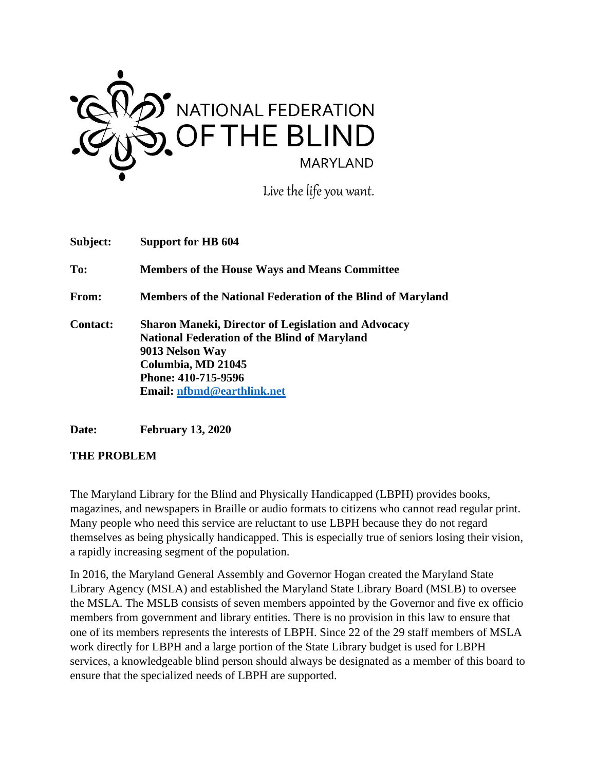

Live the life you want.

| Subject:        | Support for HB 604                                                                                                                                                                                                     |
|-----------------|------------------------------------------------------------------------------------------------------------------------------------------------------------------------------------------------------------------------|
| To:             | <b>Members of the House Ways and Means Committee</b>                                                                                                                                                                   |
| <b>From:</b>    | <b>Members of the National Federation of the Blind of Maryland</b>                                                                                                                                                     |
| <b>Contact:</b> | <b>Sharon Maneki, Director of Legislation and Advocacy</b><br><b>National Federation of the Blind of Maryland</b><br>9013 Nelson Way<br>Columbia, MD 21045<br>Phone: 410-715-9596<br><b>Email: nfbmd@earthlink.net</b> |

**Date: February 13, 2020**

#### **THE PROBLEM**

The Maryland Library for the Blind and Physically Handicapped (LBPH) provides books, magazines, and newspapers in Braille or audio formats to citizens who cannot read regular print. Many people who need this service are reluctant to use LBPH because they do not regard themselves as being physically handicapped. This is especially true of seniors losing their vision, a rapidly increasing segment of the population.

In 2016, the Maryland General Assembly and Governor Hogan created the Maryland State Library Agency (MSLA) and established the Maryland State Library Board (MSLB) to oversee the MSLA. The MSLB consists of seven members appointed by the Governor and five ex officio members from government and library entities. There is no provision in this law to ensure that one of its members represents the interests of LBPH. Since 22 of the 29 staff members of MSLA work directly for LBPH and a large portion of the State Library budget is used for LBPH services, a knowledgeable blind person should always be designated as a member of this board to ensure that the specialized needs of LBPH are supported.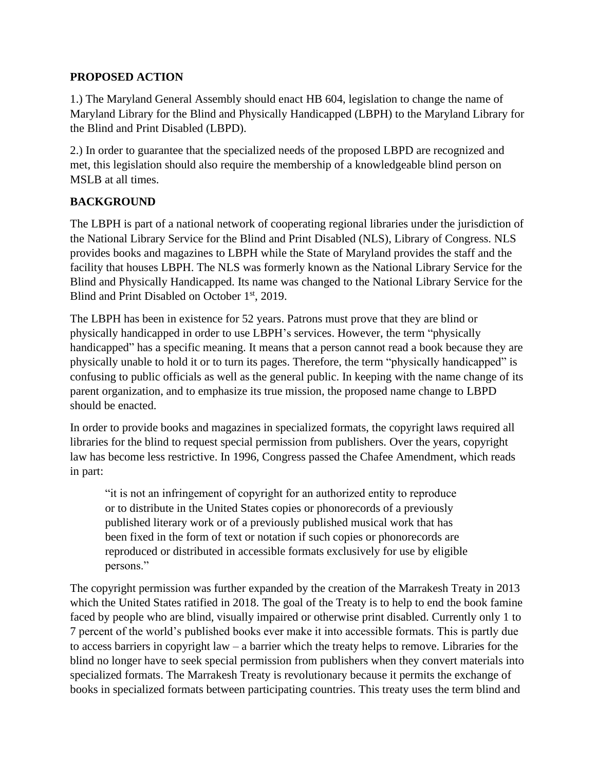### **PROPOSED ACTION**

1.) The Maryland General Assembly should enact HB 604, legislation to change the name of Maryland Library for the Blind and Physically Handicapped (LBPH) to the Maryland Library for the Blind and Print Disabled (LBPD).

2.) In order to guarantee that the specialized needs of the proposed LBPD are recognized and met, this legislation should also require the membership of a knowledgeable blind person on MSLB at all times.

## **BACKGROUND**

The LBPH is part of a national network of cooperating regional libraries under the jurisdiction of the National Library Service for the Blind and Print Disabled (NLS), Library of Congress. NLS provides books and magazines to LBPH while the State of Maryland provides the staff and the facility that houses LBPH. The NLS was formerly known as the National Library Service for the Blind and Physically Handicapped. Its name was changed to the National Library Service for the Blind and Print Disabled on October 1<sup>st</sup>, 2019.

The LBPH has been in existence for 52 years. Patrons must prove that they are blind or physically handicapped in order to use LBPH's services. However, the term "physically handicapped" has a specific meaning. It means that a person cannot read a book because they are physically unable to hold it or to turn its pages. Therefore, the term "physically handicapped" is confusing to public officials as well as the general public. In keeping with the name change of its parent organization, and to emphasize its true mission, the proposed name change to LBPD should be enacted.

In order to provide books and magazines in specialized formats, the copyright laws required all libraries for the blind to request special permission from publishers. Over the years, copyright law has become less restrictive. In 1996, Congress passed the Chafee Amendment, which reads in part:

"it is not an infringement of copyright for an authorized entity to reproduce or to distribute in the United States copies or phonorecords of a previously published literary work or of a previously published musical work that has been fixed in the form of text or notation if such copies or phonorecords are reproduced or distributed in accessible formats exclusively for use by eligible persons."

The copyright permission was further expanded by the creation of the Marrakesh Treaty in 2013 which the United States ratified in 2018. The goal of the Treaty is to help to end the book famine faced by people who are blind, visually impaired or otherwise print disabled. Currently only 1 to 7 percent of the world's published books ever make it into accessible formats. This is partly due to access barriers in copyright law – a barrier which the treaty helps to remove. Libraries for the blind no longer have to seek special permission from publishers when they convert materials into specialized formats. The Marrakesh Treaty is revolutionary because it permits the exchange of books in specialized formats between participating countries. This treaty uses the term blind and